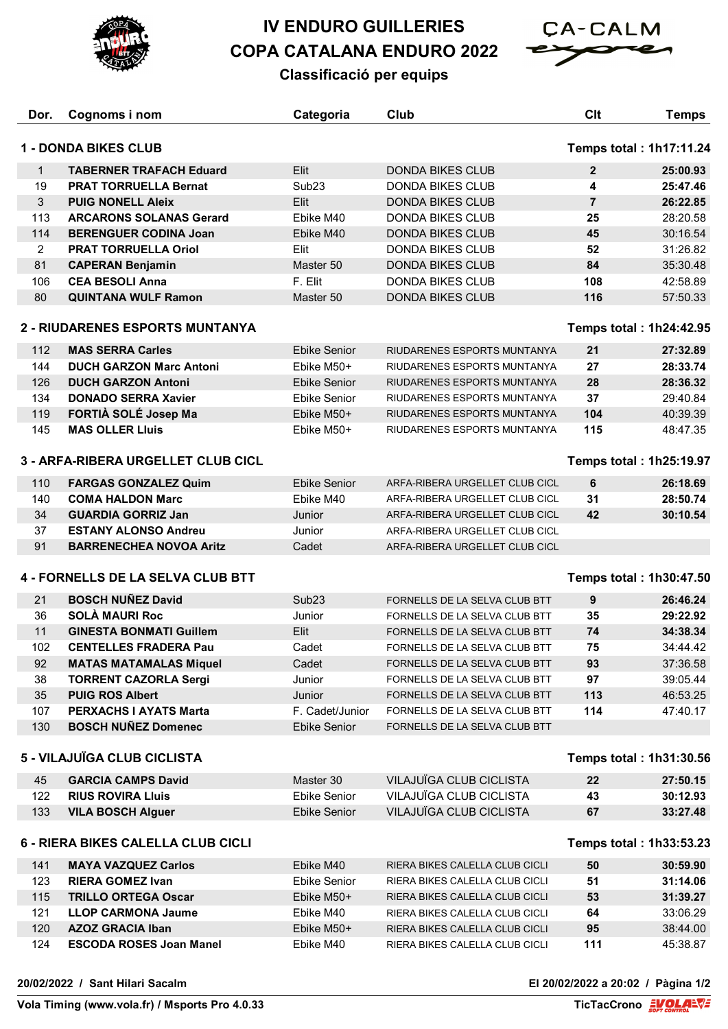

## **IV ENDURO GUILLERIES COPA CATALANA ENDURO 2022**



## **Classificació per equips**

| Dor.                                                          | Cognoms i nom                   | Categoria           | Club                           | Clt                     | <b>Temps</b> |  |  |
|---------------------------------------------------------------|---------------------------------|---------------------|--------------------------------|-------------------------|--------------|--|--|
| <b>1 - DONDA BIKES CLUB</b><br><b>Temps total: 1h17:11.24</b> |                                 |                     |                                |                         |              |  |  |
|                                                               |                                 |                     |                                |                         |              |  |  |
| $\mathbf{1}$                                                  | <b>TABERNER TRAFACH Eduard</b>  | Elit                | <b>DONDA BIKES CLUB</b>        | $\mathbf{2}$            | 25:00.93     |  |  |
| 19                                                            | <b>PRAT TORRUELLA Bernat</b>    | Sub <sub>23</sub>   | <b>DONDA BIKES CLUB</b>        | 4                       | 25:47.46     |  |  |
| 3                                                             | <b>PUIG NONELL Aleix</b>        | Elit                | <b>DONDA BIKES CLUB</b>        | $\overline{7}$          | 26:22.85     |  |  |
| 113                                                           | <b>ARCARONS SOLANAS Gerard</b>  | Ebike M40           | <b>DONDA BIKES CLUB</b>        | 25                      | 28:20.58     |  |  |
| 114                                                           | <b>BERENGUER CODINA Joan</b>    | Ebike M40           | <b>DONDA BIKES CLUB</b>        | 45                      | 30:16.54     |  |  |
| $\overline{2}$                                                | <b>PRAT TORRUELLA Oriol</b>     | Elit                | <b>DONDA BIKES CLUB</b>        | 52                      | 31:26.82     |  |  |
| 81                                                            | <b>CAPERAN Benjamin</b>         | Master 50           | <b>DONDA BIKES CLUB</b>        | 84                      | 35:30.48     |  |  |
| 106                                                           | <b>CEA BESOLI Anna</b>          | F. Elit             | <b>DONDA BIKES CLUB</b>        | 108                     | 42:58.89     |  |  |
| 80                                                            | <b>QUINTANA WULF Ramon</b>      | Master 50           | <b>DONDA BIKES CLUB</b>        | 116                     | 57:50.33     |  |  |
|                                                               | 2 - RIUDARENES ESPORTS MUNTANYA |                     |                                | Temps total: 1h24:42.95 |              |  |  |
| 112                                                           | <b>MAS SERRA Carles</b>         | <b>Ebike Senior</b> | RIUDARENES ESPORTS MUNTANYA    | 21                      | 27:32.89     |  |  |
| 144                                                           | <b>DUCH GARZON Marc Antoni</b>  | Ebike M50+          | RIUDARENES ESPORTS MUNTANYA    | 27                      | 28:33.74     |  |  |
| 126                                                           | <b>DUCH GARZON Antoni</b>       | <b>Ebike Senior</b> | RIUDARENES ESPORTS MUNTANYA    | 28                      | 28:36.32     |  |  |
| 134                                                           | <b>DONADO SERRA Xavier</b>      | Ebike Senior        | RIUDARENES ESPORTS MUNTANYA    | 37                      | 29:40.84     |  |  |
| 119                                                           | FORTIÀ SOLÉ Josep Ma            | Ebike M50+          | RIUDARENES ESPORTS MUNTANYA    | 104                     | 40:39.39     |  |  |
| 145                                                           | <b>MAS OLLER Lluis</b>          | Ebike M50+          | RIUDARENES ESPORTS MUNTANYA    | 115                     | 48:47.35     |  |  |
|                                                               |                                 |                     |                                |                         |              |  |  |
| 3 - ARFA-RIBERA URGELLET CLUB CICL                            |                                 |                     |                                | Temps total: 1h25:19.97 |              |  |  |
| 110                                                           | <b>FARGAS GONZALEZ Quim</b>     | <b>Ebike Senior</b> | ARFA-RIBERA URGELLET CLUB CICL | 6                       | 26:18.69     |  |  |
| 140                                                           | <b>COMA HALDON Marc</b>         | Ebike M40           | ARFA-RIBERA URGELLET CLUB CICL | 31                      | 28:50.74     |  |  |
| 34                                                            | <b>GUARDIA GORRIZ Jan</b>       | Junior              | ARFA-RIBERA URGELLET CLUB CICL | 42                      | 30:10.54     |  |  |
| 37                                                            | <b>ESTANY ALONSO Andreu</b>     | Junior              | ARFA-RIBERA URGELLET CLUB CICL |                         |              |  |  |
| 91                                                            | <b>BARRENECHEA NOVOA Aritz</b>  | Cadet               | ARFA-RIBERA URGELLET CLUB CICL |                         |              |  |  |
| 4 - FORNELLS DE LA SELVA CLUB BTT<br>Temps total: 1h30:47.50  |                                 |                     |                                |                         |              |  |  |
|                                                               |                                 |                     |                                |                         |              |  |  |
| 21                                                            | <b>BOSCH NUÑEZ David</b>        | Sub <sub>23</sub>   | FORNELLS DE LA SELVA CLUB BTT  | 9                       | 26:46.24     |  |  |
| 36                                                            | <b>SOLÀ MAURI Roc</b>           | Junior              | FORNELLS DE LA SELVA CLUB BTT  | 35                      | 29:22.92     |  |  |
| 11                                                            | <b>GINESTA BONMATI Guillem</b>  | Elit                | FORNELLS DE LA SELVA CLUB BTT  | 74                      | 34:38.34     |  |  |
| 102                                                           | <b>CENTELLES FRADERA Pau</b>    | Cadet               | FORNELLS DE LA SELVA CLUB BTT  | 75                      | 34:44.42     |  |  |
| 92                                                            | <b>MATAS MATAMALAS Miquel</b>   | Cadet               | FORNELLS DE LA SELVA CLUB BTT  | 93                      | 37:36.58     |  |  |
| 38                                                            | <b>TORRENT CAZORLA Sergi</b>    | Junior              | FORNELLS DE LA SELVA CLUB BTT  | 97                      | 39:05.44     |  |  |
| 35                                                            | <b>PUIG ROS Albert</b>          | Junior              | FORNELLS DE LA SELVA CLUB BTT  | 113                     | 46:53.25     |  |  |
| 107                                                           | <b>PERXACHS I AYATS Marta</b>   | F. Cadet/Junior     | FORNELLS DE LA SELVA CLUB BTT  | 114                     | 47:40.17     |  |  |
| 130                                                           | <b>BOSCH NUÑEZ Domenec</b>      | Ebike Senior        | FORNELLS DE LA SELVA CLUB BTT  |                         |              |  |  |
| 5 - VILAJUÏGA CLUB CICLISTA                                   |                                 |                     |                                | Temps total: 1h31:30.56 |              |  |  |
| 45                                                            | <b>GARCIA CAMPS David</b>       | Master 30           | VILAJUÏGA CLUB CICLISTA        | 22                      | 27:50.15     |  |  |
| 122                                                           | <b>RIUS ROVIRA Lluis</b>        | <b>Ebike Senior</b> | VILAJUÏGA CLUB CICLISTA        | 43                      | 30:12.93     |  |  |
| 133                                                           | <b>VILA BOSCH Alguer</b>        | <b>Ebike Senior</b> | VILAJUÏGA CLUB CICLISTA        | 67                      | 33:27.48     |  |  |
|                                                               |                                 |                     |                                |                         |              |  |  |
| 6 - RIERA BIKES CALELLA CLUB CICLI<br>Temps total: 1h33:53.23 |                                 |                     |                                |                         |              |  |  |
| 141                                                           | <b>MAYA VAZQUEZ Carlos</b>      | Ebike M40           | RIERA BIKES CALELLA CLUB CICLI | 50                      | 30:59.90     |  |  |
| 123                                                           | <b>RIERA GOMEZ Ivan</b>         | <b>Ebike Senior</b> | RIERA BIKES CALELLA CLUB CICLI | 51                      | 31:14.06     |  |  |
| 115                                                           | <b>TRILLO ORTEGA Oscar</b>      | Ebike M50+          | RIERA BIKES CALELLA CLUB CICLI | 53                      | 31:39.27     |  |  |
| 121                                                           | <b>LLOP CARMONA Jaume</b>       | Ebike M40           | RIERA BIKES CALELLA CLUB CICLI | 64                      | 33:06.29     |  |  |
| 120                                                           | <b>AZOZ GRACIA Iban</b>         | Ebike M50+          | RIERA BIKES CALELLA CLUB CICLI | 95                      | 38:44.00     |  |  |
| 124                                                           | <b>ESCODA ROSES Joan Manel</b>  | Ebike M40           | RIERA BIKES CALELLA CLUB CICLI | 111                     | 45:38.87     |  |  |

**20/02/2022 / Sant Hilari Sacalm El 20/02/2022 a 20:02 / Pàgina 1/2**